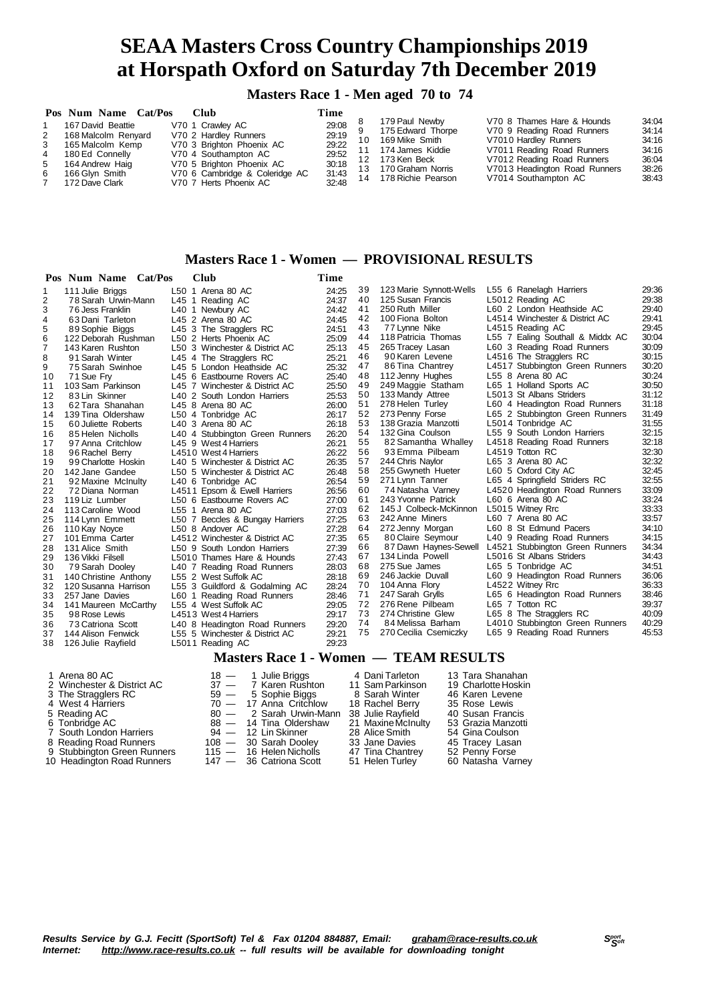**Masters Race 1 - Men aged 70 to 74**

|                  | Pos Num Name Cat/Pos                    | – Club                                             | Time           |    |                                         |                                                          |                |
|------------------|-----------------------------------------|----------------------------------------------------|----------------|----|-----------------------------------------|----------------------------------------------------------|----------------|
|                  | 167 David Beattie                       | V70 1 Crawley AC                                   | 29:08          |    | 179 Paul Newby<br>175 Edward Thorpe     | V70 8 Thames Hare & Hounds<br>V70 9 Reading Road Runners | 34:04<br>34:14 |
| 2<br>$3^{\circ}$ | 168 Malcolm Renyard<br>165 Malcolm Kemp | V70 2 Hardley Runners<br>V70 3 Brighton Phoenix AC | 29:19<br>29:22 | 10 | 169 Mike Smith                          | V7010 Hardley Runners                                    | 34:16          |
| $\overline{4}$   | 180 Ed Connelly                         | V70 4 Southampton AC                               | 29:52          |    | 174 James Kiddie                        | V7011 Reading Road Runners                               | 34:16          |
| 5                | 164 Andrew Haig                         | V70 5 Brighton Phoenix AC                          | 30:18          |    | 12 173 Ken Beck<br>13 170 Graham Norris | V7012 Reading Road Runners                               | 36:04<br>38:26 |
| 6                | 166 Glvn Smith                          | V70 6 Cambridge & Coleridge AC                     | 31:43<br>32:48 |    | 14 178 Richie Pearson                   | V7013 Headington Road Runners<br>V7014 Southampton AC    | 38:43          |
|                  | 172 Dave Clark                          | V70 7 Herts Phoenix AC                             |                |    |                                         |                                                          |                |

### **Masters Race 1 - Women — PROVISIONAL RESULTS**

|                | Pos Num Name Cat/Pos  | <b>Club</b>                     | Time  |    |                         |                                  |       |
|----------------|-----------------------|---------------------------------|-------|----|-------------------------|----------------------------------|-------|
| 1              | 111 Julie Briggs      | L50 1 Arena 80 AC               | 24:25 | 39 | 123 Marie Synnott-Wells | L55 6 Ranelagh Harriers          | 29:36 |
| 2              | 78 Sarah Urwin-Mann   | L45 1 Reading AC                | 24:37 | 40 | 125 Susan Francis       | L5012 Reading AC                 | 29:38 |
| 3              | 76 Jess Franklin      | L40 1 Newbury AC                | 24:42 | 41 | 250 Ruth Miller         | L60 2 London Heathside AC        | 29:40 |
| 4              | 63 Dani Tarleton      | L45 2 Arena 80 AC               | 24:45 | 42 | 100 Fiona Bolton        | L4514 Winchester & District AC   | 29:41 |
| 5              | 89 Sophie Biggs       | L45 3 The Stragglers RC         | 24:51 | 43 | 77 Lynne Nike           | L4515 Reading AC                 | 29:45 |
| 6              | 122 Deborah Rushman   | L50 2 Herts Phoenix AC          | 25:09 | 44 | 118 Patricia Thomas     | L55 7 Ealing Southall & Middx AC | 30:04 |
| $\overline{7}$ | 143 Karen Rushton     | L50 3 Winchester & District AC  | 25:13 | 45 | 265 Tracey Lasan        | L60 3 Reading Road Runners       | 30:09 |
| 8              | 91 Sarah Winter       | L45 4 The Stragglers RC         | 25:21 | 46 | 90 Karen Levene         | L4516 The Stragglers RC          | 30:15 |
| 9              | 75 Sarah Swinhoe      | L45 5 London Heathside AC       | 25:32 | 47 | 86 Tina Chantrey        | L4517 Stubbington Green Runners  | 30:20 |
| 10             | 71 Sue Fry            | L45 6 Eastbourne Rovers AC      | 25:40 | 48 | 112 Jenny Hughes        | L55 8 Arena 80 AC                | 30:24 |
| 11             | 103 Sam Parkinson     | L45 7 Winchester & District AC  | 25:50 | 49 | 249 Maggie Statham      | L65 1 Holland Sports AC          | 30:50 |
| 12             | 83 Lin Skinner        | L40 2 South London Harriers     | 25:53 | 50 | 133 Mandy Attree        | L5013 St Albans Striders         | 31:12 |
| 13             | 62 Tara Shanahan      | L45 8 Arena 80 AC               | 26:00 | 51 | 278 Helen Turley        | L60 4 Headington Road Runners    | 31:18 |
| 14             | 139 Tina Oldershaw    | L50 4 Tonbridge AC              | 26:17 | 52 | 273 Penny Forse         | L65 2 Stubbington Green Runners  | 31:49 |
| 15             | 60 Juliette Roberts   | L40 3 Arena 80 AC               | 26:18 | 53 | 138 Grazia Manzotti     | L5014 Tonbridge AC               | 31:55 |
| 16             | 85 Helen Nicholls     | L40 4 Stubbington Green Runners | 26:20 | 54 | 132 Gina Coulson        | L55 9 South London Harriers      | 32:15 |
| 17             | 97 Anna Critchlow     | L45 9 West 4 Harriers           | 26:21 | 55 | 82 Samantha Whalley     | L4518 Reading Road Runners       | 32:18 |
| 18             | 96 Rachel Berry       | L4510 West 4 Harriers           | 26:22 | 56 | 93 Emma Pilbeam         | L4519 Totton RC                  | 32:30 |
| 19             | 99 Charlotte Hoskin   | L40 5 Winchester & District AC  | 26:35 | 57 | 244 Chris Naylor        | L65 3 Arena 80 AC                | 32:32 |
| 20             | 142 Jane Gandee       | L50 5 Winchester & District AC  | 26:48 | 58 | 255 Gwyneth Hueter      | L60 5 Oxford City AC             | 32:45 |
| 21             | 92 Maxine McInulty    | L40 6 Tonbridge AC              | 26:54 | 59 | 271 Lynn Tanner         | L65 4 Springfield Striders RC    | 32:55 |
| 22             | 72 Diana Norman       | L4511 Epsom & Ewell Harriers    | 26:56 | 60 | 74 Natasha Varney       | L4520 Headington Road Runners    | 33:09 |
| 23             | 119 Liz Lumber        | L50 6 Eastbourne Rovers AC      | 27:00 | 61 | 243 Yvonne Patrick      | L60 6 Arena 80 AC                | 33:24 |
| 24             | 113 Caroline Wood     | L55 1 Arena 80 AC               | 27:03 | 62 | 145 J Colbeck-McKinnon  | L5015 Witney Rrc                 | 33:33 |
| 25             | 114 Lynn Emmett       | L50 7 Beccles & Bungay Harriers | 27:25 | 63 | 242 Anne Miners         | L60 7 Arena 80 AC                | 33:57 |
| 26             | 110 Kay Noyce         | L50 8 Andover AC                | 27:28 | 64 | 272 Jenny Morgan        | L60 8 St Edmund Pacers           | 34:10 |
| 27             | 101 Emma Carter       | L4512 Winchester & District AC  | 27:35 | 65 | 80 Claire Seymour       | L40 9 Reading Road Runners       | 34:15 |
| 28             | 131 Alice Smith       | L50 9 South London Harriers     | 27:39 | 66 | 87 Dawn Haynes-Sewell   | L4521 Stubbington Green Runners  | 34:34 |
| 29             | 136 Vikki Filsell     | L5010 Thames Hare & Hounds      | 27:43 | 67 | 134 Linda Powell        | L5016 St Albans Striders         | 34:43 |
| 30             | 79 Sarah Dooley       | L40 7 Reading Road Runners      | 28:03 | 68 | 275 Sue James           | L65 5 Tonbridge AC               | 34:51 |
| 31             | 140 Christine Anthony | L55 2 West Suffolk AC           | 28:18 | 69 | 246 Jackie Duvall       | L60 9 Headington Road Runners    | 36:06 |
| 32             | 120 Susanna Harrison  | L55 3 Guildford & Godalming AC  | 28:24 | 70 | 104 Anna Flory          | L4522 Witney Rrc                 | 36:33 |
| 33             | 257 Jane Davies       | L60 1 Reading Road Runners      | 28:46 | 71 | 247 Sarah Grylls        | L65 6 Headington Road Runners    | 38:46 |
| 34             | 141 Maureen McCarthy  | L55 4 West Suffolk AC           | 29:05 | 72 | 276 Rene Pilbeam        | L65 7 Totton RC                  | 39:37 |
| 35             | 98 Rose Lewis         | L4513 West 4 Harriers           | 29:17 | 73 | 274 Christine Glew      | L65 8 The Stragglers RC          | 40:09 |
| 36             | 73 Catriona Scott     | L40 8 Headington Road Runners   | 29:20 | 74 | 84 Melissa Barham       | L4010 Stubbington Green Runners  | 40:29 |
| 37             | 144 Alison Fenwick    | L55 5 Winchester & District AC  | 29:21 | 75 | 270 Cecilia Csemiczky   | L65 9 Reading Road Runners       | 45:53 |
| 38             | 126 Julie Rayfield    | L5011 Reading AC                | 29:23 |    |                         |                                  |       |

### **Masters Race 1 - Women — TEAM RESULTS**

| 1 Arena 80 AC               | $18 - 1$ Julie Briggs     | 4 Dani Tarleton    | 13 Tara Shanahan    |
|-----------------------------|---------------------------|--------------------|---------------------|
| 2 Winchester & District AC  | 37 - 7 Karen Rushton      | 11 Sam Parkinson   | 19 Charlotte Hoskin |
| 3 The Stragglers RC         | 59 — 5 Sophie Biggs       | 8 Sarah Winter     | 46 Karen Levene     |
| 4 West 4 Harriers           | 70 - 17 Anna Critchlow    | 18 Rachel Berry    | 35 Rose Lewis       |
| 5 Reading AC                | 80 - 2 Sarah Urwin-Mann   | 38 Julie Rayfield  | 40 Susan Francis    |
| 6 Tonbridge AC              | 88 - 14 Tina Oldershaw    | 21 Maxine McInulty | 53 Grazia Manzotti  |
| 7 South London Harriers     | 94 — 12 Lin Skinner       | 28 Alice Smith     | 54 Gina Coulson     |
| 8 Reading Road Runners      | 108 - 30 Sarah Dooley     | 33 Jane Davies     | 45 Tracey Lasan     |
| 9 Stubbington Green Runners | $115 - 16$ Helen Nicholls | 47 Tina Chantrey   | 52 Penny Forse      |
| 10 Headington Road Runners  | 147 - 36 Catriona Scott   | 51 Helen Turley    | 60 Natasha Varnev   |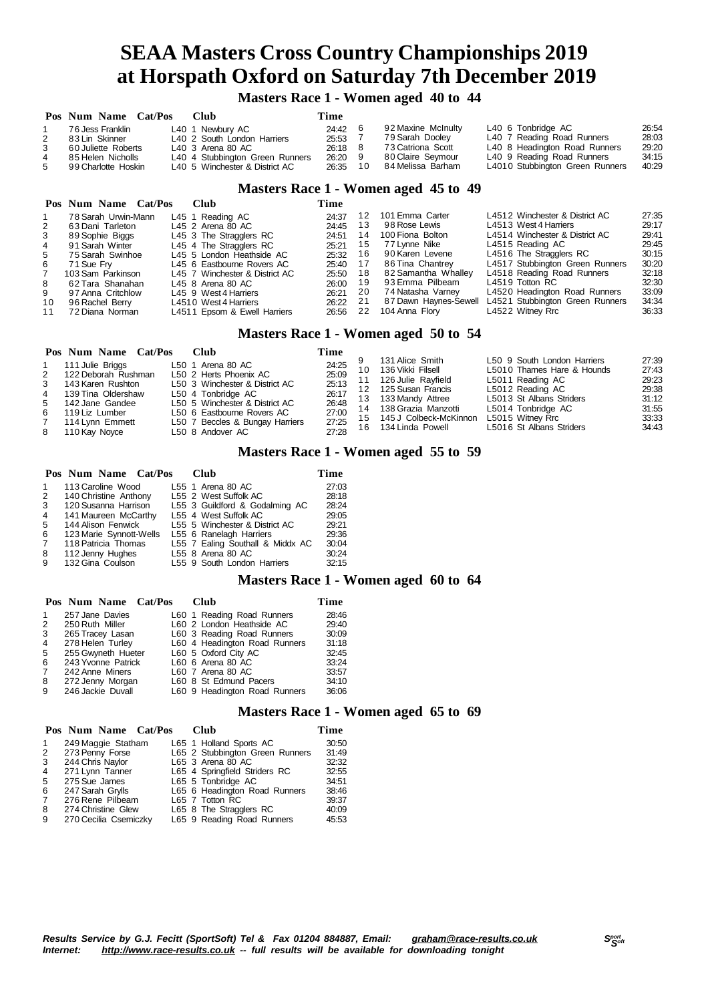**Masters Race 1 - Women aged 40 to 44**

|    | Pos Num Name Cat/Pos | <b>Club</b>                     | Time      |    |                    |                                 |       |
|----|----------------------|---------------------------------|-----------|----|--------------------|---------------------------------|-------|
|    | 76 Jess Franklin     | L40 1 Newbury AC                | 24:42     |    | 92 Maxine McInulty | L40 6 Tonbridge AC              | 26:54 |
| 2  | 83 Lin Skinner       | L40 2 South London Harriers     | 25:53     |    | 79 Sarah Dooley    | L40 7 Reading Road Runners      | 28:03 |
| 3  | 60 Juliette Roberts  | L40 3 Arena 80 AC               | $26:18$ 8 |    | 73 Catriona Scott  | L40 8 Headington Road Runners   | 29:20 |
|    | 85 Helen Nicholls    | L40 4 Stubbington Green Runners | 26:20 9   |    | 80 Claire Seymour  | L40 9 Reading Road Runners      | 34:15 |
| -5 | 99 Charlotte Hoskin  | L40 5 Winchester & District AC  | 26:35     | 10 | 84 Melissa Barham  | L4010 Stubbington Green Runners | 40:29 |

### **Masters Race 1 - Women aged 45 to 49**

|                | Pos Num Name Cat/Pos | Club                           | Time     |      |                       |                                 |       |
|----------------|----------------------|--------------------------------|----------|------|-----------------------|---------------------------------|-------|
|                | 78 Sarah Urwin-Mann  | L45 1 Reading AC               | 24:37    | 12   | 101 Emma Carter       | L4512 Winchester & District AC  | 27:35 |
| 2              | 63 Dani Tarleton     | L45 2 Arena 80 AC              | 24:45    | 13   | 98 Rose Lewis         | L4513 West 4 Harriers           | 29:17 |
| -3             | 89 Sophie Biggs      | L45 3 The Stragglers RC        | 24:51    | 14   | 100 Fiona Bolton      | L4514 Winchester & District AC  | 29:41 |
| $\overline{4}$ | 91 Sarah Winter      | L45 4 The Stragglers RC        | 25:21    | 15   | 77 Lynne Nike         | L4515 Reading AC                | 29:45 |
| 5              | 75 Sarah Swinhoe     | L45 5 London Heathside AC      | 25:32    | - 16 | 90 Karen Levene       | L4516 The Stragglers RC         | 30:15 |
| 6              | 71 Sue Frv           | L45 6 Eastbourne Rovers AC     | 25:40 17 |      | 86 Tina Chantrey      | L4517 Stubbington Green Runners | 30:20 |
|                | 103 Sam Parkinson    | L45 7 Winchester & District AC | 25:50    | - 18 | 82 Samantha Whallev   | L4518 Reading Road Runners      | 32:18 |
| 8              | 62 Tara Shanahan     | $L45$ 8 Arena 80 AC            | 26:00    | - 19 | 93 Emma Pilbeam       | L4519 Totton RC                 | 32:30 |
| 9              | 97 Anna Critchlow    | L45 9 West 4 Harriers          | 26:21    | -20  | 74 Natasha Varnev     | L4520 Headington Road Runners   | 33:09 |
| 10             | 96 Rachel Berry      | L4510 West 4 Harriers          | 26:22    | 21   | 87 Dawn Haynes-Sewell | L4521 Stubbington Green Runners | 34:34 |
| 11             | 72 Diana Norman      | L4511 Epsom & Ewell Harriers   | 26:56    | 22   | 104 Anna Flory        | L4522 Witney Rrc                | 36:33 |

### **Masters Race 1 - Women aged 50 to 54**

| L50 9 South London Harriers<br>131 Alice Smith<br>24:25<br>L50 1 Arena 80 AC<br>111 Julie Briggs<br>L5010 Thames Hare & Hounds<br>136 Vikki Filsell<br>10<br>25:09<br>L50 2 Herts Phoenix AC<br>122 Deborah Rushman<br>2<br>126 Julie Rayfield<br>L5011 Reading AC<br>25:13<br>143 Karen Rushton<br>$3^{\circ}$<br>L50 3 Winchester & District AC                                                                                                                                                                                                         |                                                                      |
|-----------------------------------------------------------------------------------------------------------------------------------------------------------------------------------------------------------------------------------------------------------------------------------------------------------------------------------------------------------------------------------------------------------------------------------------------------------------------------------------------------------------------------------------------------------|----------------------------------------------------------------------|
| L5012 Reading AC<br>12 125 Susan Francis<br>26:17<br>4 139 Tina Oldershaw<br>L50 4 Tonbridge AC<br>L5013 St Albans Striders<br>13 133 Mandy Attree<br>26:48<br>5 142 Jane Gandee<br>L50 5 Winchester & District AC<br>L5014 Tonbridge AC<br>138 Grazia Manzotti<br>14<br>27:00<br>L50 6 Eastbourne Rovers AC<br>119 Liz Lumber<br>6<br>15 145 J Colbeck-McKinnon<br>L5015 Witney Rrc<br>27:25<br>27:28<br>L50 7 Beccles & Bungay Harriers<br>114 Lynn Emmett<br>L5016 St Albans Striders<br>16 134 Linda Powell<br>L50 8 Andover AC<br>110 Kay Noyce<br>8 | 27:39<br>27:43<br>29:23<br>29:38<br>31:12<br>31:55<br>33:33<br>34:43 |

### **Masters Race 1 - Women aged 55 to 59**

|                | Pos Num Name Cat/Pos    |  | <b>Club</b>                      | Time  |
|----------------|-------------------------|--|----------------------------------|-------|
| $\mathbf{1}$   | 113 Caroline Wood       |  | L55 1 Arena 80 AC                | 27:03 |
| 2              | 140 Christine Anthony   |  | L55 2 West Suffolk AC            | 28:18 |
| 3              | 120 Susanna Harrison    |  | L55 3 Guildford & Godalming AC   | 28:24 |
| $\overline{4}$ | 141 Maureen McCarthy    |  | L55 4 West Suffolk AC            | 29:05 |
| 5              | 144 Alison Fenwick      |  | L55 5 Winchester & District AC   | 29:21 |
| 6              | 123 Marie Synnott-Wells |  | L55 6 Ranelagh Harriers          | 29:36 |
| $\overline{7}$ | 118 Patricia Thomas     |  | L55 7 Ealing Southall & Middx AC | 30:04 |
| 8              | 112 Jenny Hughes        |  | L55 8 Arena 80 AC                | 30:24 |
| 9              | 132 Gina Coulson        |  | L55 9 South London Harriers      | 32:15 |
|                |                         |  |                                  |       |

### **Masters Race 1 - Women aged 60 to 64**

|   | Pos Num Name Cat/Pos | Club                          | Time  |
|---|----------------------|-------------------------------|-------|
| 1 | 257 Jane Davies      | L60 1 Reading Road Runners    | 28:46 |
| 2 | 250 Ruth Miller      | L60 2 London Heathside AC     | 29:40 |
| 3 | 265 Tracey Lasan     | L60 3 Reading Road Runners    | 30:09 |
| 4 | 278 Helen Turley     | L60 4 Headington Road Runners | 31:18 |
| 5 | 255 Gwyneth Hueter   | L60 5 Oxford City AC          | 32:45 |
| 6 | 243 Yvonne Patrick   | L60 6 Arena 80 AC             | 33:24 |
| 7 | 242 Anne Miners      | L60 7 Arena 80 AC             | 33:57 |
| 8 | 272 Jenny Morgan     | L60 8 St Edmund Pacers        | 34:10 |
| 9 | 246 Jackie Duvall    | L60 9 Headington Road Runners | 36:06 |

### **Masters Race 1 - Women aged 65 to 69**

|                | Pos Num Name Cat/Pos  |  | Club                            | Time  |
|----------------|-----------------------|--|---------------------------------|-------|
| 1              | 249 Maggie Statham    |  | L65 1 Holland Sports AC         | 30:50 |
| 2              | 273 Penny Forse       |  | L65 2 Stubbington Green Runners | 31:49 |
| 3              | 244 Chris Naylor      |  | L65 3 Arena 80 AC               | 32:32 |
| 4              | 271 Lynn Tanner       |  | L65 4 Springfield Striders RC   | 32:55 |
| 5              | 275 Sue James         |  | L65 5 Tonbridge AC              | 34:51 |
| 6              | 247 Sarah Grylls      |  | L65 6 Headington Road Runners   | 38:46 |
| $\overline{7}$ | 276 Rene Pilbeam      |  | L65 7 Totton RC                 | 39:37 |
| 8              | 274 Christine Glew    |  | L65 8 The Stragglers RC         | 40:09 |
| 9              | 270 Cecilia Csemiczky |  | L65 9 Reading Road Runners      | 45:53 |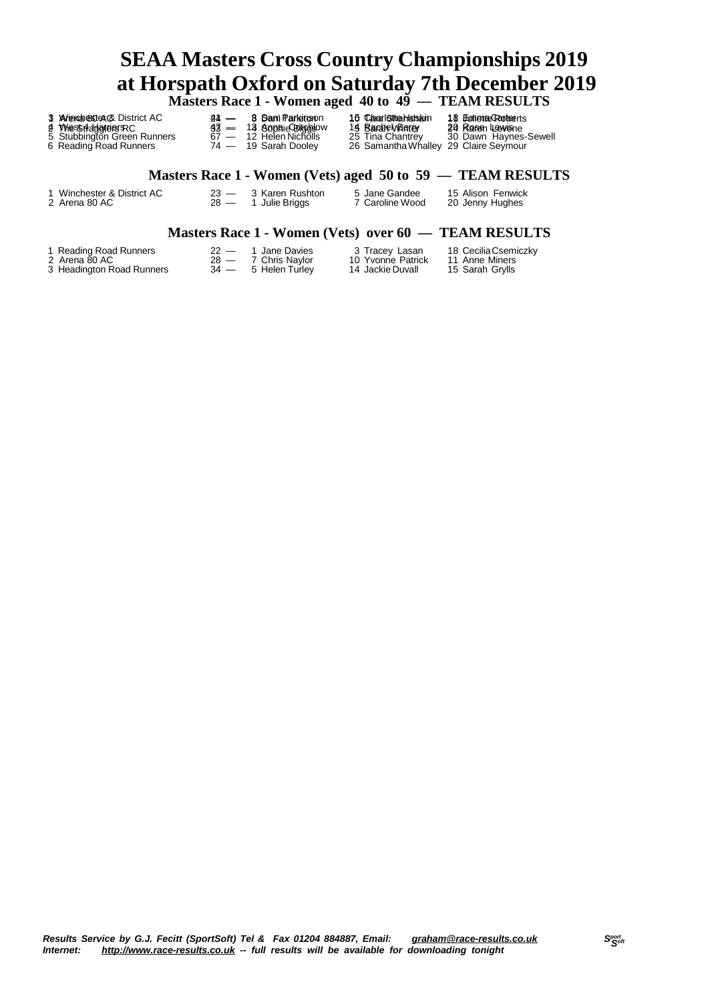|                                                                                                                |        | Masters Race 1 - Women aged 40 to 49 — TEAM RESULTS                                                |                                                                                                      |                                                                     |
|----------------------------------------------------------------------------------------------------------------|--------|----------------------------------------------------------------------------------------------------|------------------------------------------------------------------------------------------------------|---------------------------------------------------------------------|
| 3 Wienderstex & District AC<br>21 WhesStfaldgreiersRC<br>5 Stubbington Green Runners<br>6 Reading Road Runners | $44 =$ | 8 Sam Parkinson<br>$33 - 13$ Sophie Bitcheow<br>$67 - 12$ Helen Nicholls<br>$74 - 19$ Sarah Dooley | 15 Charlotta Handin<br>15 Barate Wherey<br>25 Tina Chantrey<br>26 Samantha Whalley 29 Claire Seymour | 18 Eunionae Crooteerts<br>20 Rasen Lewisne<br>30 Dawn Haynes-Sewell |
|                                                                                                                |        |                                                                                                    |                                                                                                      | Masters Race 1 - Women (Vets) aged 50 to 59 — TEAM RESULTS          |

### **Masters Race 1 - Women (Vets) aged 50 to 59 — TEAM RESULTS**

Winchester & District AC 23 — 3 Karen Rushton 5 Jane Gandee 15 Alison Fenwick

Arena 80 AC 28 — 1 Julie Briggs 7 Caroline Wood 20 Jenny Hughes

### **Masters Race 1 - Women (Vets) over 60 — TEAM RESULTS**

| 1 Reading Road Runners    | $22 -$ | 1 Jane Davies       | 3 Tracey Lasan    | 18 Cecilia Csemiczky |
|---------------------------|--------|---------------------|-------------------|----------------------|
| 2 Arena 80 AC             |        | 28 — 7 Chris Navlor | 10 Yvonne Patrick | 11 Anne Miners       |
| 3 Headington Road Runners |        | 34 — 5 Helen Turlev | 14 Jackie Duvall  | 15 Sarah Grylls      |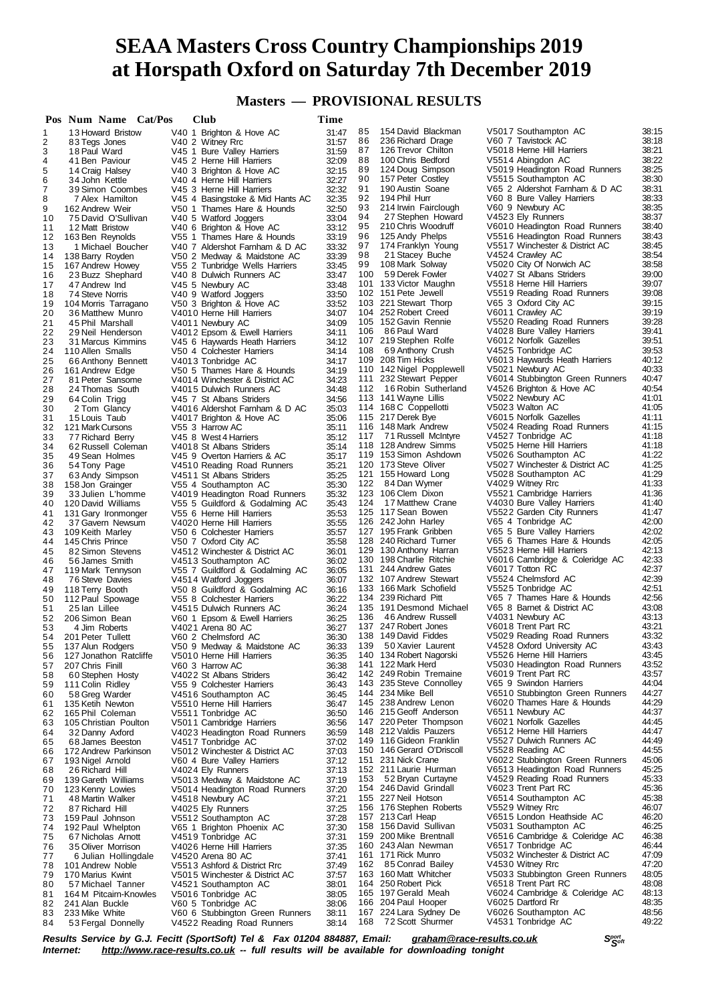**Masters — PROVISIONAL RESULTS**

|          | Pos Num Name Cat/Pos                       | Club                                                           | Time           |          |                                                   |                                                         |                |
|----------|--------------------------------------------|----------------------------------------------------------------|----------------|----------|---------------------------------------------------|---------------------------------------------------------|----------------|
| 1        | 13 Howard Bristow                          | V40 1 Brighton & Hove AC                                       | 31:47          | 85       | 154 David Blackman                                | V5017 Southampton AC                                    | 38:15          |
| 2        | 83 Tegs Jones                              | V40 2 Witney Rrc                                               | 31:57          | 86       | 236 Richard Drage                                 | V60 7 Tavistock AC                                      | 38:18          |
| 3        | 18 Paul Ward                               | V45 1 Bure Valley Harriers                                     | 31:59          | 87       | 126 Trevor Chilton                                | V5018 Herne Hill Harriers                               | 38:21          |
| 4        | 41 Ben Paviour                             | V45 2 Herne Hill Harriers                                      | 32:09          | 88<br>89 | 100 Chris Bedford                                 | V5514 Abingdon AC                                       | 38:22<br>38:25 |
| 5<br>6   | 14 Craig Halsey<br>34 John Kettle          | V40 3 Brighton & Hove AC<br>V40 4 Herne Hill Harriers          | 32:15<br>32:27 | 90       | 124 Doug Simpson<br>157 Peter Costley             | V5019 Headington Road Runners<br>V5515 Southampton AC   | 38:30          |
| 7        | 39 Simon Coombes                           | V45 3 Herne Hill Harriers                                      | 32:32          | 91       | 190 Austin Soane                                  | V65 2 Aldershot Farnham & D AC                          | 38:31          |
| 8        | 7 Alex Hamilton                            | V45 4 Basingstoke & Mid Hants AC                               | 32:35          | 92       | 194 Phil Hurr                                     | V60 8 Bure Valley Harriers                              | 38:33          |
| 9        | 162 Andrew Weir                            | V50 1 Thames Hare & Hounds                                     | 32:50          | 93       | 214 Irwin Fairclough                              | V60 9 Newbury AC                                        | 38:35          |
| 10       | 75 David O'Sullivan                        | V40 5 Watford Joggers                                          | 33:04          | 94       | 27 Stephen Howard                                 | V4523 Ely Runners                                       | 38:37          |
| 11       | 12 Matt Bristow                            | V40 6 Brighton & Hove AC                                       | 33:12          | 95       | 210 Chris Woodruff                                | V6010 Headington Road Runners                           | 38:40          |
| 12       | 163 Ben Reynolds                           | V55 1 Thames Hare & Hounds                                     | 33:19          | 96       | 125 Andy Phelps                                   | V5516 Headington Road Runners                           | 38:43          |
| 13       | 1 Michael Boucher                          | V40 7 Aldershot Farnham & D AC                                 | 33:32          | 97       | 174 Franklyn Young                                | V5517 Winchester & District AC                          | 38:45          |
| 14       | 138 Barry Royden                           | V50 2 Medway & Maidstone AC                                    | 33:39          | 98<br>99 | 21 Stacey Buche<br>108 Mark Solway                | V4524 Crawley AC<br>V5020 City Of Norwich AC            | 38:54<br>38:58 |
| 15<br>16 | 167 Andrew Howey<br>23 Buzz Shephard       | V55 2 Tunbridge Wells Harriers<br>V40 8 Dulwich Runners AC     | 33:45<br>33:47 | 100      | 59 Derek Fowler                                   | V4027 St Albans Striders                                | 39:00          |
| 17       | 47 Andrew Ind                              | V45 5 Newbury AC                                               | 33:48          |          | 101 133 Victor Maughn                             | V5518 Herne Hill Harriers                               | 39:07          |
| 18       | 74 Steve Norris                            | V40 9 Watford Joggers                                          | 33:50          |          | 102 151 Pete Jewell                               | V5519 Reading Road Runners                              | 39:08          |
| 19       | 104 Morris Tarragano                       | V50 3 Brighton & Hove AC                                       | 33:52          |          | 103 221 Stewart Thorp                             | V65 3 Oxford City AC                                    | 39:15          |
| 20       | 36 Matthew Munro                           | V4010 Herne Hill Harriers                                      | 34:07          |          | 104 252 Robert Creed                              | V6011 Crawley AC                                        | 39:19          |
| 21       | 45 Phil Marshall                           | V4011 Newbury AC                                               | 34:09          |          | 105 152 Gavin Rennie                              | V5520 Reading Road Runners                              | 39:28          |
| 22       | 29 Neil Henderson                          | V4012 Epsom & Ewell Harriers                                   | 34:11          | 106      | 86 Paul Ward                                      | V4028 Bure Valley Harriers                              | 39:41          |
| 23       | 31 Marcus Kimmins                          | V45 6 Haywards Heath Harriers                                  | 34:12          |          | 107 219 Stephen Rolfe                             | V6012 Norfolk Gazelles                                  | 39:51          |
| 24       | 110 Allen Smalls                           | V50 4 Colchester Harriers                                      | 34:14          | 108      | 69 Anthony Crush<br>109 208 Tim Hicks             | V4525 Tonbridge AC<br>V6013 Haywards Heath Harriers     | 39:53<br>40:12 |
| 25<br>26 | 66 Anthony Bennett                         | V4013 Tonbridge AC<br>V50 5 Thames Hare & Hounds               | 34:17<br>34:19 |          | 110 142 Nigel Popplewell                          | V5021 Newbury AC                                        | 40:33          |
| 27       | 161 Andrew Edge<br>81 Peter Sansome        | V4014 Winchester & District AC                                 | 34:23          |          | 111 232 Stewart Pepper                            | V6014 Stubbington Green Runners                         | 40:47          |
| 28       | 24 Thomas South                            | V4015 Dulwich Runners AC                                       | 34:48          |          | 112 16 Robin Sutherland                           | V4526 Brighton & Hove AC                                | 40:54          |
| 29       | 64 Colin Trigg                             | V45 7 St Albans Striders                                       | 34:56          |          | 113 141 Wayne Lillis                              | V5022 Newbury AC                                        | 41:01          |
| 30       | 2 Tom Glancy                               | V4016 Aldershot Farnham & D AC                                 | 35:03          |          | 114 168 C Coppellotti                             | V5023 Walton AC                                         | 41:05          |
| 31       | 15 Louis Taub                              | V4017 Brighton & Hove AC                                       | 35:06          |          | 115 217 Derek Bye                                 | V6015 Norfolk Gazelles                                  | 41:11          |
| 32       | 121 Mark Cursons                           | V55 3 Harrow AC                                                | 35:11          |          | 116 148 Mark Andrew                               | V5024 Reading Road Runners                              | 41:15          |
| 33       | 77 Richard Berry                           | V45 8 West 4 Harriers                                          | 35:12          | 117      | 71 Russell McIntyre                               | V4527 Tonbridge AC                                      | 41:18          |
| 34       | 62 Russell Coleman                         | V4018 St Albans Striders                                       | 35:14          |          | 118 128 Andrew Simms                              | V5025 Herne Hill Harriers                               | 41:18          |
| 35       | 49 Sean Holmes                             | V45 9 Overton Harriers & AC                                    | 35:17          |          | 119 153 Simon Ashdown<br>120 173 Steve Oliver     | V5026 Southampton AC                                    | 41:22<br>41:25 |
| 36<br>37 | 54 Tony Page                               | V4510 Reading Road Runners<br>V4511 St Albans Striders         | 35:21<br>35:25 |          | 121 155 Howard Long                               | V5027 Winchester & District AC<br>V5028 Southampton AC  | 41:29          |
| 38       | 63 Andy Simpson<br>158 Jon Grainger        | V55 4 Southampton AC                                           | 35:30          | 122      | 84 Dan Wymer                                      | V4029 Witney Rrc                                        | 41:33          |
| 39       | 33 Julien L'homme                          | V4019 Headington Road Runners                                  | 35:32          |          | 123 106 Clem Dixon                                | V5521 Cambridge Harriers                                | 41:36          |
| 40       | 120 David Williams                         | V55 5 Guildford & Godalming AC                                 | 35:43          | 124      | 17 Matthew Crane                                  | V4030 Bure Valley Harriers                              | 41:40          |
| 41       | 131 Gary Ironmonger                        | V55 6 Herne Hill Harriers                                      | 35:53          |          | 125 117 Sean Bowen                                | V5522 Garden City Runners                               | 41:47          |
| 42       | 37 Gavern Newsum                           | V4020 Herne Hill Harriers                                      | 35:55          |          | 126 242 John Harley                               | V65 4 Tonbridge AC                                      | 42:00          |
| 43       | 109 Keith Marley                           | V50 6 Colchester Harriers                                      | 35:57          |          | 127 195 Frank Gribben                             | V65 5 Bure Valley Harriers                              | 42:02          |
| 44       | 145 Chris Prince                           | V50 7 Oxford City AC                                           | 35:58          |          | 128 240 Richard Turner                            | V65 6 Thames Hare & Hounds                              | 42:05          |
| 45       | 82 Simon Stevens                           | V4512 Winchester & District AC                                 | 36:01          |          | 129 130 Anthony Harran<br>130 198 Charlie Ritchie | V5523 Herne Hill Harriers                               | 42:13<br>42:33 |
| 46<br>47 | 56 James Smith                             | V4513 Southampton AC                                           | 36:02<br>36:05 |          | 131 244 Andrew Gates                              | V6016 Cambridge & Coleridge AC<br>V6017 Totton RC       | 42:37          |
| 48       | 119 Mark Tennyson<br>76 Steve Davies       | V55 7 Guildford & Godalming AC<br>V4514 Watford Joggers        | 36:07          |          | 132 107 Andrew Stewart                            | V5524 Chelmsford AC                                     | 42:39          |
| 49       | 118 Terry Booth                            | V50 8 Guildford & Godalming AC                                 | 36:16          |          | 133 166 Mark Schofield                            | V5525 Tonbridge AC                                      | 42:51          |
| 50       | 112 Paul Spowage                           | V55 8 Colchester Harriers                                      | 36:22          |          | 134 239 Richard Pitt                              | V65 7 Thames Hare & Hounds                              | 42:56          |
| 51       | 25 Ian Lillee                              | V4515 Dulwich Runners AC                                       | 36:24          |          | 135 191 Desmond Michael                           | V65 8 Barnet & District AC                              | 43:08          |
| 52       | 206 Simon Bean                             | V60 1 Epsom & Ewell Harriers                                   | 36:25          | 136      | 46 Andrew Russell                                 | V4031 Newbury AC                                        | 43:13          |
| 53       | 4 Jim Roberts                              | V4021 Arena 80 AC                                              | 36:27          |          | 137 247 Robert Jones                              | V6018 Trent Part RC                                     | 43:21          |
| 54       | 201 Peter Tullett                          | V60 2 Chelmsford AC                                            | 36:30          |          | 138 149 David Fiddes                              | V5029 Reading Road Runners                              | 43:32          |
|          | 55 137 Alun Rodgers                        | V50 9 Medway & Maidstone AC                                    | 36:33          | 139      | 50 Xavier Laurent<br>140 134 Robert Nagorski      | V4528 Oxford University AC<br>V5526 Herne Hill Harriers | 43:43<br>43:45 |
| 56<br>57 | 127 Jonathon Ratcliffe<br>207 Chris Finill | V5010 Herne Hill Harriers<br>V60 3 Harrow AC                   | 36:35<br>36:38 |          | 141 122 Mark Herd                                 | V5030 Headington Road Runners                           | 43:52          |
| 58       | 60 Stephen Hosty                           | V4022 St Albans Striders                                       | 36:42          |          | 142 249 Robin Tremaine                            | V6019 Trent Part RC                                     | 43:57          |
| 59       | 111 Colin Ridley                           | V55 9 Colchester Harriers                                      | 36:43          |          | 143 235 Steve Connolley                           | V65 9 Swindon Harriers                                  | 44:04          |
| 60       | 58 Greg Warder                             | V4516 Southampton AC                                           | 36:45          |          | 144 234 Mike Bell                                 | V6510 Stubbington Green Runners                         | 44:27          |
| 61       | 135 Ketih Newton                           | V5510 Herne Hill Harriers                                      | 36:47          |          | 145 238 Andrew Lenon                              | V6020 Thames Hare & Hounds                              | 44:29          |
| 62       | 165 Phil Coleman                           | V5511 Tonbridge AC                                             | 36:50          |          | 146 215 Geoff Anderson                            | V6511 Newbury AC                                        | 44:37          |
| 63       | 105 Christian Poulton                      | V5011 Cambridge Harriers                                       | 36:56          |          | 147 220 Peter Thompson                            | V6021 Norfolk Gazelles                                  | 44:45          |
| 64       | 32 Danny Axford                            | V4023 Headington Road Runners                                  | 36:59          |          | 148 212 Valdis Pauzers                            | V6512 Herne Hill Harriers                               | 44:47          |
| 65       | 68 James Beeston                           | V4517 Tonbridge AC                                             | 37:02          |          | 149 116 Gideon Franklin                           | V5527 Dulwich Runners AC<br>V5528 Reading AC            | 44:49<br>44:55 |
| 66       | 172 Andrew Parkinson                       | V5012 Winchester & District AC                                 | 37:03          |          | 150 146 Gerard O'Driscoll<br>151 231 Nick Crane   | V6022 Stubbington Green Runners                         | 45:06          |
| 67<br>68 | 193 Nigel Arnold<br>26 Richard Hill        | V60 4 Bure Valley Harriers<br>V4024 Ely Runners                | 37:12<br>37:13 |          | 152 211 Laurie Hurman                             | V6513 Headington Road Runners                           | 45:25          |
| 69       | 139 Gareth Williams                        | V5013 Medway & Maidstone AC                                    | 37:19          | 153      | 52 Bryan Curtayne                                 | V4529 Reading Road Runners                              | 45:33          |
| 70       | 123 Kenny Lowies                           | V5014 Headington Road Runners                                  | 37:20          | 154      | 246 David Grindall                                | V6023 Trent Part RC                                     | 45:36          |
| 71       | 48 Martin Walker                           | V4518 Newbury AC                                               | 37:21          |          | 155 227 Neil Hotson                               | V6514 Southampton AC                                    | 45:38          |
| 72       | 87 Richard Hill                            | V4025 Ely Runners                                              | 37:25          |          | 156 176 Stephen Roberts                           | V5529 Witney Rrc                                        | 46:07          |
| 73       | 159 Paul Johnson                           | V5512 Southampton AC                                           | 37:28          |          | 157 213 Carl Heap                                 | V6515 London Heathside AC                               | 46:20          |
| 74       | 192 Paul Whelpton                          | V65 1 Brighton Phoenix AC                                      | 37:30          | 158      | 156 David Sullivan                                | V5031 Southampton AC                                    | 46:25          |
| 75       | 67 Nicholas Arnott                         | V4519 Tonbridge AC                                             | 37:31          | 159      | 200 Mike Brentnall                                | V6516 Cambridge & Coleridge AC                          | 46:38          |
| 76       | 35 Oliver Morrison                         | V4026 Herne Hill Harriers                                      | 37:35          |          | 160 243 Alan Newman                               | V6517 Tonbridge AC                                      | 46:44<br>47:09 |
| 77       | 6 Julian Hollingdale                       | V4520 Arena 80 AC                                              | 37:41          | 162      | 161 171 Rick Munro<br>85 Conrad Bailey            | V5032 Winchester & District AC<br>V4530 Witney Rrc      | 47:20          |
| 78<br>79 | 101 Andrew Noble<br>170 Marius Kwint       | V5513 Ashford & District Rrc<br>V5015 Winchester & District AC | 37:49<br>37:57 |          | 163 160 Matt Whitcher                             | V5033 Stubbington Green Runners                         | 48:05          |
| 80       | 57 Michael Tanner                          | V4521 Southampton AC                                           | 38:01          | 164      | 250 Robert Pick                                   | V6518 Trent Part RC                                     | 48:08          |
| 81       | 164 M Pitcairn-Knowles                     | V5016 Tonbridge AC                                             | 38:05          |          | 165 197 Gerald Meah                               | V6024 Cambridge & Coleridge AC                          | 48:13          |
| 82       | 241 Alan Buckle                            | V60 5 Tonbridge AC                                             | 38:06          |          | 166 204 Paul Hooper                               | V6025 Dartford Rr                                       | 48:35          |
| 83       | 233 Mike White                             | V60 6 Stubbington Green Runners                                | 38:11          |          | 167 224 Lara Sydney De                            | V6026 Southampton AC                                    | 48:56          |
| 84       | 53 Fergal Donnelly                         | V4522 Reading Road Runners                                     | 38:14          | 168      | 72 Scott Shurmer                                  | V4531 Tonbridge AC                                      | 49:22          |

Results Service by G.J. Fecitt (SportSoft) Tel & Fax 01204 884887, Email: [graham@race-results.co.uk](mailto:graham@race-results.co.uk)<br>Internet: http://www.race-results.co.uk -- full results will be available for downloading topight *Internet: <http://www.race-results.co.uk> -- full results will be available for downloading tonight*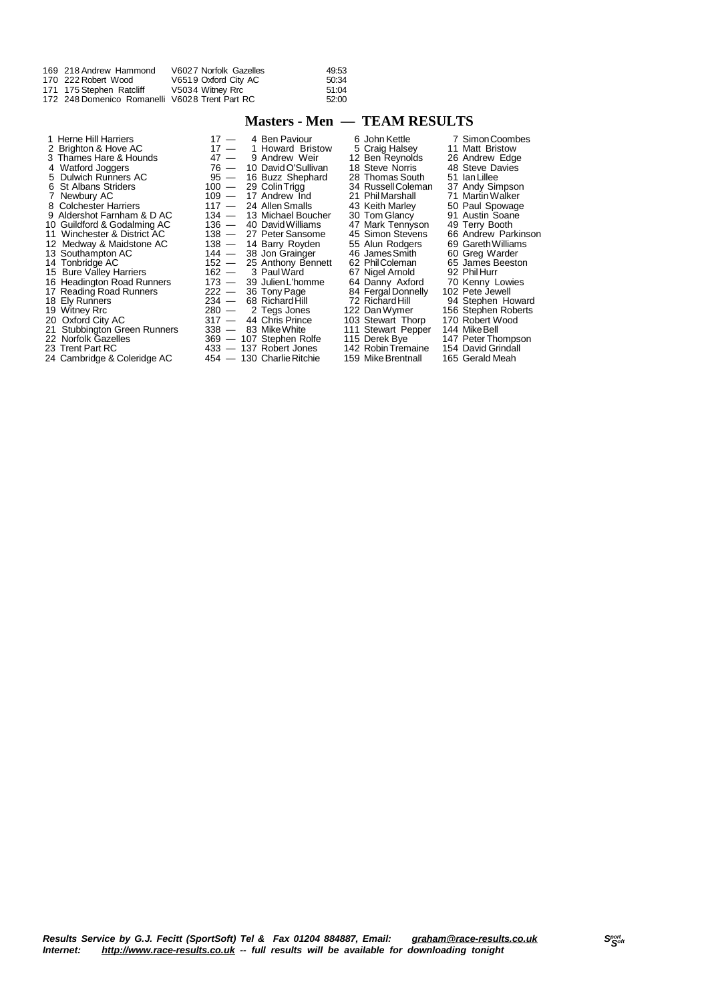| 169 218 Andrew Hammond                         | V6027 Norfolk Gazelles | 49:53 |
|------------------------------------------------|------------------------|-------|
| 170 222 Robert Wood                            | V6519 Oxford City AC   | 50:34 |
| 171 175 Stephen Ratcliff                       | V5034 Witney Rrc       | 51:04 |
| 172 248 Domenico Romanelli V6028 Trent Part RC |                        | 52:00 |

### **Masters - Men — TEAM RESULTS**

| 1 Herne Hill Harriers        | $17 -$  | 4 Ben Paviour             | 6 John Kettle      | 7 Simon Coombes     |
|------------------------------|---------|---------------------------|--------------------|---------------------|
| 2 Brighton & Hove AC         | $17 -$  | 1 Howard Bristow          | 5 Craig Halsey     | 11 Matt Bristow     |
| 3 Thames Hare & Hounds       | $47 -$  | 9 Andrew Weir             | 12 Ben Reynolds    | 26 Andrew Edge      |
| 4 Watford Joggers            | $76 -$  | 10 David O'Sullivan       | 18 Steve Norris    | 48 Steve Davies     |
| 5 Dulwich Runners AC         | $95 -$  | 16 Buzz Shephard          | 28 Thomas South    | 51 Ian Lillee       |
| 6 St Albans Striders         | $100 -$ | 29 Colin Trigg            | 34 Russell Coleman | 37 Andy Simpson     |
| 7 Newbury AC                 | $109 -$ | 17 Andrew Ind             | 21 Phil Marshall   | 71 Martin Walker    |
| 8 Colchester Harriers        | $117 -$ | 24 Allen Smalls           | 43 Keith Marley    | 50 Paul Spowage     |
| 9 Aldershot Farnham & D AC   | $134 -$ | 13 Michael Boucher        | 30 Tom Glancy      | 91 Austin Soane     |
| 10 Guildford & Godalming AC  | $136 -$ | 40 David Williams         | 47 Mark Tennyson   | 49 Terry Booth      |
| 11 Winchester & District AC  | $138 -$ | 27 Peter Sansome          | 45 Simon Stevens   | 66 Andrew Parkinson |
| 12 Medway & Maidstone AC     | $138 -$ | 14 Barry Royden           | 55 Alun Rodgers    | 69 Gareth Williams  |
| 13 Southampton AC            | 144 —   | 38 Jon Grainger           | 46 James Smith     | 60 Greg Warder      |
| 14 Tonbridge AC              |         | 152 - 25 Anthony Bennett  | 62 Phil Coleman    | 65 James Beeston    |
| 15 Bure Valley Harriers      |         | $162 - 3$ Paul Ward       | 67 Nigel Arnold    | 92 Phil Hurr        |
| 16 Headington Road Runners   | 173 —   | 39 Julien L'homme         | 64 Danny Axford    | 70 Kenny Lowies     |
| 17 Reading Road Runners      | $222 -$ | 36 Tony Page              | 84 Fergal Donnelly | 102 Pete Jewell     |
| 18 Ely Runners               | $234 -$ | 68 Richard Hill           | 72 Richard Hill    | 94 Stephen Howard   |
| 19 Witney Rrc                | $280 -$ | 2 Tegs Jones              | 122 Dan Wymer      | 156 Stephen Roberts |
| 20 Oxford City AC            | $317 -$ | 44 Chris Prince           | 103 Stewart Thorp  | 170 Robert Wood     |
| 21 Stubbington Green Runners | 338 —   | 83 Mike White             | 111 Stewart Pepper | 144 Mike Bell       |
| 22 Norfolk Gazelles          |         | 369 - 107 Stephen Rolfe   | 115 Derek Bye      | 147 Peter Thompson  |
|                              |         |                           |                    |                     |
| 23 Trent Part RC             |         | $433 - 137$ Robert Jones  | 142 Robin Tremaine | 154 David Grindall  |
| 24 Cambridge & Coleridge AC  |         | 454 - 130 Charlie Ritchie | 159 Mike Brentnall | 165 Gerald Meah     |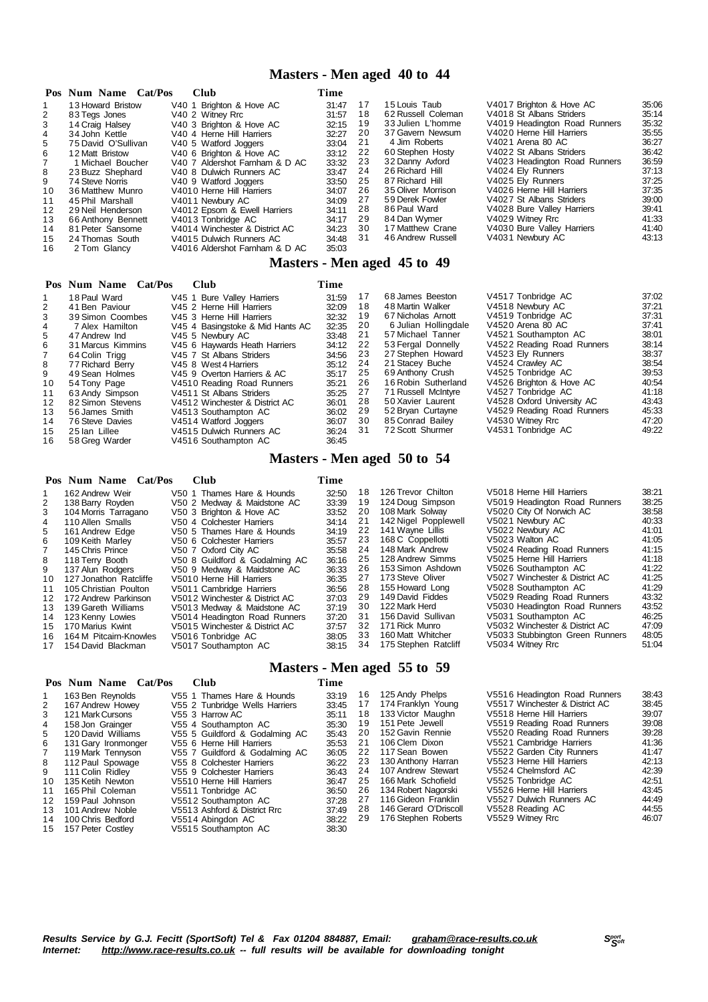### **Masters - Men aged 40 to 44**

|    | Pos Num Name Cat/Pos | <b>Club</b>                      | Time  |    |                             |                               |       |
|----|----------------------|----------------------------------|-------|----|-----------------------------|-------------------------------|-------|
| 1  | 13 Howard Bristow    | V40 1 Brighton & Hove AC         | 31:47 | 17 | 15 Louis Taub               | V4017 Brighton & Hove AC      | 35:06 |
| 2  | 83 Tegs Jones        | V40 2 Witney Rrc                 | 31:57 | 18 | 62 Russell Coleman          | V4018 St Albans Striders      | 35:14 |
| 3  | 14 Craig Halsey      | V40 3 Brighton & Hove AC         | 32:15 | 19 | 33 Julien L'homme           | V4019 Headington Road Runners | 35:32 |
| 4  | 34 John Kettle       | V40 4 Herne Hill Harriers        | 32:27 | 20 | 37 Gavern Newsum            | V4020 Herne Hill Harriers     | 35:55 |
| 5  | 75 David O'Sullivan  | V40 5 Watford Joggers            | 33:04 | 21 | 4 Jim Roberts               | V4021 Arena 80 AC             | 36:27 |
| 6  | 12 Matt Bristow      | V40 6 Brighton & Hove AC         | 33:12 | 22 | 60 Stephen Hosty            | V4022 St Albans Striders      | 36:42 |
|    | 1 Michael Boucher    | V40 7 Aldershot Farnham & D AC   | 33:32 | 23 | 32 Danny Axford             | V4023 Headington Road Runners | 36:59 |
| 8  | 23 Buzz Shephard     | V40 8 Dulwich Runners AC         | 33:47 | 24 | 26 Richard Hill             | V4024 Ely Runners             | 37:13 |
| 9  | 74 Steve Norris      | V40 9 Watford Joggers            | 33:50 | 25 | 87 Richard Hill             | V4025 Ely Runners             | 37:25 |
| 10 | 36 Matthew Munro     | V4010 Herne Hill Harriers        | 34:07 | 26 | 35 Oliver Morrison          | V4026 Herne Hill Harriers     | 37:35 |
| 11 | 45 Phil Marshall     | V4011 Newbury AC                 | 34:09 | 27 | 59 Derek Fowler             | V4027 St Albans Striders      | 39:00 |
| 12 | 29 Neil Henderson    | V4012 Epsom & Ewell Harriers     | 34:11 | 28 | 86 Paul Ward                | V4028 Bure Valley Harriers    | 39:41 |
| 13 | 66 Anthony Bennett   | V4013 Tonbridge AC               | 34:17 | 29 | 84 Dan Wymer                | V4029 Witney Rrc              | 41:33 |
| 14 | 81 Peter Sansome     | V4014 Winchester & District AC   | 34:23 | 30 | 17 Matthew Crane            | V4030 Bure Valley Harriers    | 41:40 |
| 15 | 24 Thomas South      | V4015 Dulwich Runners AC         | 34:48 | 31 | 46 Andrew Russell           | V4031 Newbury AC              | 43:13 |
| 16 | 2 Tom Glancy         | V4016 Aldershot Farnham & D AC   | 35:03 |    |                             |                               |       |
|    |                      |                                  |       |    | Masters - Men aged 45 to 49 |                               |       |
|    | Pos Num Name Cat/Pos | <b>Club</b>                      | Time  |    |                             |                               |       |
|    | 18 Paul Ward         | V45 1 Bure Valley Harriers       | 31:59 | 17 | 68 James Beeston            | V4517 Tonbridge AC            | 37:02 |
| 2  | 41 Ben Paviour       | V45 2 Herne Hill Harriers        | 32:09 | 18 | 48 Martin Walker            | V4518 Newbury AC              | 37:21 |
| 3  | 39 Simon Coombes     | V45 3 Herne Hill Harriers        | 32:32 | 19 | 67 Nicholas Arnott          | V4519 Tonbridge AC            | 37:31 |
| 4  | 7 Alex Hamilton      | V45 4 Basingstoke & Mid Hants AC | 32:35 | 20 | 6 Julian Hollingdale        | V4520 Arena 80 AC             | 37:41 |
| 5  | 47 Andrew Ind        | V45 5 Newbury AC                 | 33:48 | 21 | 57 Michael Tanner           | V4521 Southampton AC          | 38:01 |
| 6  | 31 Marcus Kimmins    | V45 6 Haywards Heath Harriers    | 34:12 | 22 | 53 Fergal Donnelly          | V4522 Reading Road Runners    | 38:14 |
|    | 64 Colin Triga       | V45 7 St Albans Striders         | 34:56 | 23 | 27 Stephen Howard           | V4523 Ely Runners             | 38:37 |

23 27 Stephen Howard V4523 Ely Runners 38:37<br>24 21 Stacey Buche V4524 Crawley AC 38:54<br>25 69 Anthony Crush V4525 Tonbridge AC 39:53 21 Stacey Buche V4524 Crawley AC 38:54 25 69 Anthony Crush V4525 Tonbridge AC 39:53 16 Robin Sutherland V4526 Brighton & Hove AC 40:54 71 Russell McIntyre V4527 Tonbridge AC 41:18 28 50 Xavier Laurent V4528 Oxford University AC 43:43

| 12<br>13<br>14<br>15<br>16 | 82 Simon Stevens<br>56 James Smith<br>76 Steve Davies<br>25 Ian Lillee<br>58 Greg Warder | V4512 Winchester & District AC<br>V4513 Southampton AC<br>V4514 Watford Joggers<br>V4515 Dulwich Runners AC<br>V4516 Southampton AC | 36:01<br>36:02<br>36:07<br>36:24<br>36:45 | 28<br>29<br>30<br>31 | 50 Xavier Laurent<br>52 Bryan Curtayne<br>85 Conrad Bailey<br>72 Scott Shurmer | V4528 Oxford University AC<br>V4529 Reading Road Runners<br>V4530 Witney Rrc<br>V4531 Tonbridge AC | 43:43<br>45:33<br>47:20<br>49:22 |
|----------------------------|------------------------------------------------------------------------------------------|-------------------------------------------------------------------------------------------------------------------------------------|-------------------------------------------|----------------------|--------------------------------------------------------------------------------|----------------------------------------------------------------------------------------------------|----------------------------------|
|                            |                                                                                          |                                                                                                                                     |                                           |                      | Masters - Men aged 50 to 54                                                    |                                                                                                    |                                  |
|                            | Pos Num Name Cat/Pos                                                                     | <b>Club</b>                                                                                                                         | Time                                      |                      |                                                                                |                                                                                                    |                                  |
|                            | 162 Andrew Weir                                                                          | V50 1 Thames Hare & Hounds                                                                                                          | 32:50                                     | 18                   | 126 Trevor Chilton                                                             | V5018 Herne Hill Harriers                                                                          | 38:21                            |
| 2                          | 138 Barry Royden                                                                         | V50 2 Medway & Maidstone AC                                                                                                         | 33:39                                     | 19                   | 124 Doug Simpson                                                               | V5019 Headington Road Runners                                                                      | 38:25                            |
| 3                          | 104 Morris Tarragano                                                                     | V50 3 Brighton & Hove AC                                                                                                            | 33:52                                     | 20                   | 108 Mark Solway                                                                | V5020 City Of Norwich AC                                                                           | 38:58                            |
| 4                          | 110 Allen Smalls                                                                         | V50 4 Colchester Harriers                                                                                                           | 34:14                                     | 21                   | 142 Nigel Popplewell                                                           | V5021 Newbury AC                                                                                   | 40:33                            |
| 5                          | 161 Andrew Edge                                                                          | V50 5 Thames Hare & Hounds                                                                                                          | 34:19                                     | 22                   | 141 Wayne Lillis                                                               | V5022 Newbury AC                                                                                   | 41:01                            |
| 6                          | 109 Keith Marley                                                                         | V50 6 Colchester Harriers                                                                                                           | 35:57                                     | 23                   | 168 C Coppellotti                                                              | V5023 Walton AC                                                                                    | 41:05                            |
|                            | 145 Chris Prince                                                                         | V50 7 Oxford City AC                                                                                                                | 35:58                                     | 24                   | 148 Mark Andrew                                                                | V5024 Reading Road Runners                                                                         | 41:15                            |
| 8                          | 118 Terry Booth                                                                          | V50 8 Guildford & Godalming AC                                                                                                      | 36:16                                     | 25                   | 128 Andrew Simms                                                               | V5025 Herne Hill Harriers                                                                          | 41:18                            |
| 9                          | 137 Alun Rodgers                                                                         | V50 9 Medway & Maidstone AC                                                                                                         | 36:33                                     | 26                   | 153 Simon Ashdown                                                              | V5026 Southampton AC                                                                               | 41:22                            |
| 10                         | 127 Jonathon Ratcliffe                                                                   | V5010 Herne Hill Harriers                                                                                                           | 36:35                                     | 27                   | 173 Steve Oliver                                                               | V5027 Winchester & District AC                                                                     | 41:25                            |
| 11                         | 105 Christian Poulton                                                                    | V5011 Cambridge Harriers                                                                                                            | 36:56                                     | 28                   | 155 Howard Long                                                                | V5028 Southampton AC                                                                               | 41:29                            |
| 12                         | 172 Andrew Parkinson                                                                     | V5012 Winchester & District AC                                                                                                      | 37:03                                     | 29                   | 149 David Fiddes                                                               | V5029 Reading Road Runners                                                                         | 43:32                            |
| 13                         | 139 Gareth Williams                                                                      | V5013 Medway & Maidstone AC                                                                                                         | 37:19                                     | 30                   | 122 Mark Herd                                                                  | V5030 Headington Road Runners                                                                      | 43:52                            |
| 14                         | 123 Kenny Lowies                                                                         | V5014 Headington Road Runners                                                                                                       | 37:20                                     | 31                   | 156 David Sullivan                                                             | V5031 Southampton AC                                                                               | 46:25                            |
| 15                         | 170 Marius Kwint                                                                         | V5015 Winchester & District AC                                                                                                      | 37:57                                     | 32                   | 171 Rick Munro                                                                 | V5032 Winchester & District AC                                                                     | 47:09                            |
| 16                         | 164 M Pitcairn-Knowles                                                                   | V5016 Tonbridge AC                                                                                                                  | 38:05                                     | 33                   | 160 Matt Whitcher                                                              | V5033 Stubbington Green Runners                                                                    | 48:05                            |
| 17                         | 154 David Blackman                                                                       | V5017 Southampton AC                                                                                                                | 38:15                                     | 34                   | 175 Stephen Ratcliff                                                           | V5034 Witney Rrc                                                                                   | 51:04                            |

 64 Colin Trigg V45 7 St Albans Striders 34:56 8 77 Richard Berry V45 8 West 4 Harriers 35:12<br>
9 49 Sean Holmes V45 9 Overton Harriers & AC 35:17<br>
10 54 Tony Page V451 0 Reading Road Runners 35:21 49 Sean Holmes V45 9 Overton Harriers & AC 35:17 54 Tony Page V4510 Reading Road Runners 35:21 11 63 Andy Simpson V4511 St Albans Striders 35:25

### **Masters - Men aged 55 to 59**

|     | Pos Num Name Cat/Pos | Club                           | Time  |    |                       |                                |       |
|-----|----------------------|--------------------------------|-------|----|-----------------------|--------------------------------|-------|
|     | 163 Ben Reynolds     | V55 1 Thames Hare & Hounds     | 33:19 | 16 | 125 Andy Phelps       | V5516 Headington Road Runners  | 38:43 |
| 2   | 167 Andrew Howev     | V55 2 Tunbridge Wells Harriers | 33:45 | 17 | 174 Franklyn Young    | V5517 Winchester & District AC | 38:45 |
| 3   | 121 Mark Cursons     | V55 3 Harrow AC                | 35:11 | 18 | 133 Victor Maughn     | V5518 Herne Hill Harriers      | 39:07 |
| 4   | 158 Jon Grainger     | V55 4 Southampton AC           | 35:30 | 19 | 151 Pete Jewell       | V5519 Reading Road Runners     | 39:08 |
| 5.  | 120 David Williams   | V55 5 Guildford & Godalming AC | 35:43 | 20 | 152 Gavin Rennie      | V5520 Reading Road Runners     | 39:28 |
| 6   | 131 Gary Ironmonger  | V55 6 Herne Hill Harriers      | 35:53 | 21 | 106 Clem Dixon        | V5521 Cambridge Harriers       | 41:36 |
|     | 119 Mark Tennyson    | V55 7 Guildford & Godalming AC | 36:05 | 22 | 117 Sean Bowen        | V5522 Garden City Runners      | 41:47 |
| 8   | 112 Paul Spowage     | V55 8 Colchester Harriers      | 36:22 | 23 | 130 Anthony Harran    | V5523 Herne Hill Harriers      | 42:13 |
| 9   | 111 Colin Ridley     | V55 9 Colchester Harriers      | 36:43 | 24 | 107 Andrew Stewart    | V5524 Chelmsford AC            | 42:39 |
| 10  | 135 Ketih Newton     | V5510 Herne Hill Harriers      | 36:47 | 25 | 166 Mark Schofield    | V5525 Tonbridge AC             | 42:51 |
| 11  | 165 Phil Coleman     | V5511 Tonbridge AC             | 36:50 | 26 | 134 Robert Nagorski   | V5526 Herne Hill Harriers      | 43:45 |
| 12  | 159 Paul Johnson     | V5512 Southampton AC           | 37:28 | 27 | 116 Gideon Franklin   | V5527 Dulwich Runners AC       | 44:49 |
| 13. | 101 Andrew Noble     | V5513 Ashford & District Rrc   | 37:49 | 28 | 146 Gerard O'Driscoll | V5528 Reading AC               | 44:55 |
| 14  | 100 Chris Bedford    | V5514 Abinadon AC              | 38:22 | 29 | 176 Stephen Roberts   | V5529 Witney Rrc               | 46:07 |
| 15  | 157 Peter Costley    | V5515 Southampton AC           | 38:30 |    |                       |                                |       |